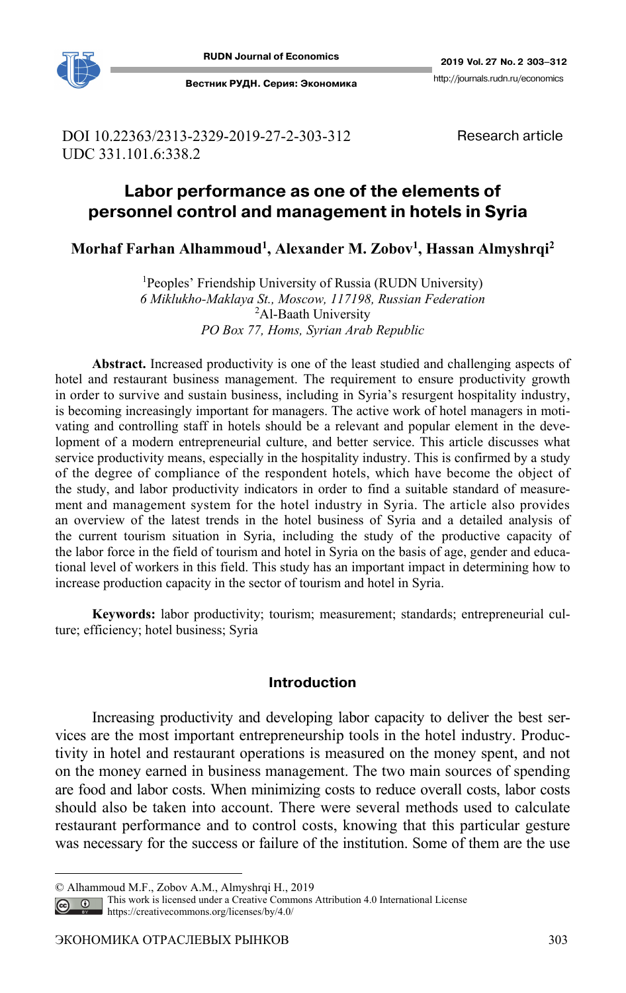

DOI 10.22363/2313-2329-2019-27-2-303-312 UDC 331.101.6:338.2

Research article

# **Labor performance as one of the elements of personnel control and management in hotels in Syria 1**

**Morhaf Farhan Alhammoud1, Alexander M. Zobov1, Hassan Almyshrqi2**

<sup>1</sup>Peoples' Friendship University of Russia (RUDN University) *6 Miklukho-Maklaya St., Moscow, 117198, Russian Federation*  <sup>2</sup>Al-Baath University *PO Box 77, Homs, Syrian Arab Republic* 

**Abstract.** Increased productivity is one of the least studied and challenging aspects of hotel and restaurant business management. The requirement to ensure productivity growth in order to survive and sustain business, including in Syria's resurgent hospitality industry, is becoming increasingly important for managers. The active work of hotel managers in motivating and controlling staff in hotels should be a relevant and popular element in the development of a modern entrepreneurial culture, and better service. This article discusses what service productivity means, especially in the hospitality industry. This is confirmed by a study of the degree of compliance of the respondent hotels, which have become the object of the study, and labor productivity indicators in order to find a suitable standard of measurement and management system for the hotel industry in Syria. The article also provides an overview of the latest trends in the hotel business of Syria and a detailed analysis of the current tourism situation in Syria, including the study of the productive capacity of the labor force in the field of tourism and hotel in Syria on the basis of age, gender and educational level of workers in this field. This study has an important impact in determining how to increase production capacity in the sector of tourism and hotel in Syria.

**Keywords:** labor productivity; tourism; measurement; standards; entrepreneurial culture; efficiency; hotel business; Syria

## **Introduction**

Increasing productivity and developing labor capacity to deliver the best services are the most important entrepreneurship tools in the hotel industry. Productivity in hotel and restaurant operations is measured on the money spent, and not on the money earned in business management. The two main sources of spending are food and labor costs. When minimizing costs to reduce overall costs, labor costs should also be taken into account. There were several methods used to calculate restaurant performance and to control costs, knowing that this particular gesture was necessary for the success or failure of the institution. Some of them are the use

 $\overline{a}$ 

<sup>©</sup> Alhammoud M.F., Zobov A.M., Almyshrqi H., 2019

This work is licensed under a Creative Commons Attribution 4.0 International License  $\bigcirc$ 

https://creativecommons.org/licenses/by/4.0/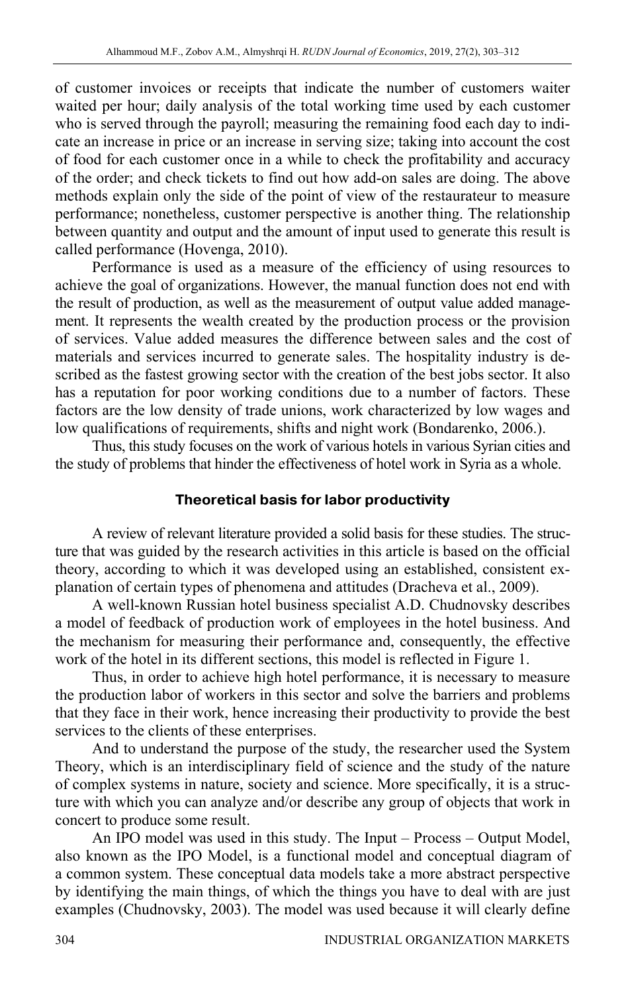of customer invoices or receipts that indicate the number of customers waiter waited per hour; daily analysis of the total working time used by each customer who is served through the payroll; measuring the remaining food each day to indicate an increase in price or an increase in serving size; taking into account the cost of food for each customer once in a while to check the profitability and accuracy of the order; and check tickets to find out how add-on sales are doing. The above methods explain only the side of the point of view of the restaurateur to measure performance; nonetheless, customer perspective is another thing. The relationship between quantity and output and the amount of input used to generate this result is called performance (Hovenga, 2010).

Performance is used as a measure of the efficiency of using resources to achieve the goal of organizations. However, the manual function does not end with the result of production, as well as the measurement of output value added management. It represents the wealth created by the production process or the provision of services. Value added measures the difference between sales and the cost of materials and services incurred to generate sales. The hospitality industry is described as the fastest growing sector with the creation of the best jobs sector. It also has a reputation for poor working conditions due to a number of factors. These factors are the low density of trade unions, work characterized by low wages and low qualifications of requirements, shifts and night work (Bondarenko, 2006.).

Thus, this study focuses on the work of various hotels in various Syrian cities and the study of problems that hinder the effectiveness of hotel work in Syria as a whole.

# **Theoretical basis for labor productivity**

A review of relevant literature provided a solid basis for these studies. The structure that was guided by the research activities in this article is based on the official theory, according to which it was developed using an established, consistent explanation of certain types of phenomena and attitudes (Dracheva et al., 2009).

A well-known Russian hotel business specialist A.D. Chudnovsky describes a model of feedback of production work of employees in the hotel business. And the mechanism for measuring their performance and, consequently, the effective work of the hotel in its different sections, this model is reflected in Figure 1.

Thus, in order to achieve high hotel performance, it is necessary to measure the production labor of workers in this sector and solve the barriers and problems that they face in their work, hence increasing their productivity to provide the best services to the clients of these enterprises.

And to understand the purpose of the study, the researcher used the System Theory, which is an interdisciplinary field of science and the study of the nature of complex systems in nature, society and science. More specifically, it is a structure with which you can analyze and/or describe any group of objects that work in concert to produce some result.

An IPO model was used in this study. The Input – Process – Output Model, also known as the IPO Model, is a functional model and conceptual diagram of a common system. These conceptual data models take a more abstract perspective by identifying the main things, of which the things you have to deal with are just examples (Chudnovsky, 2003). The model was used because it will clearly define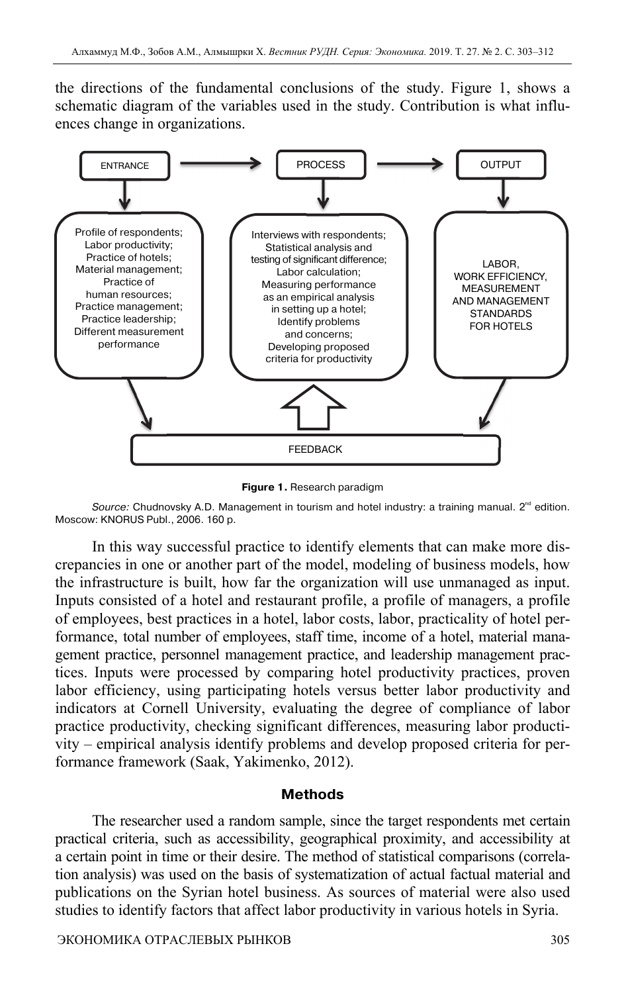the directions of the fundamental conclusions of the study. Figure 1, shows a schematic diagram of the variables used in the study. Contribution is what influences change in organizations.



**Figure 1.** Research paradigm

Source: Chudnovsky A.D. Management in tourism and hotel industry: a training manual.  $2^{nd}$  edition. Moscow: KNORUS Publ., 2006. 160 p.

In this way successful practice to identify elements that can make more discrepancies in one or another part of the model, modeling of business models, how the infrastructure is built, how far the organization will use unmanaged as input. Inputs consisted of a hotel and restaurant profile, a profile of managers, a profile of employees, best practices in a hotel, labor costs, labor, practicality of hotel performance, total number of employees, staff time, income of a hotel, material management practice, personnel management practice, and leadership management practices. Inputs were processed by comparing hotel productivity practices, proven labor efficiency, using participating hotels versus better labor productivity and indicators at Cornell University, evaluating the degree of compliance of labor practice productivity, checking significant differences, measuring labor productivity – empirical analysis identify problems and develop proposed criteria for performance framework (Saak, Yakimenko, 2012).

#### **Methods**

The researcher used a random sample, since the target respondents met certain practical criteria, such as accessibility, geographical proximity, and accessibility at a certain point in time or their desire. The method of statistical comparisons (correlation analysis) was used on the basis of systematization of actual factual material and publications on the Syrian hotel business. As sources of material were also used studies to identify factors that affect labor productivity in various hotels in Syria.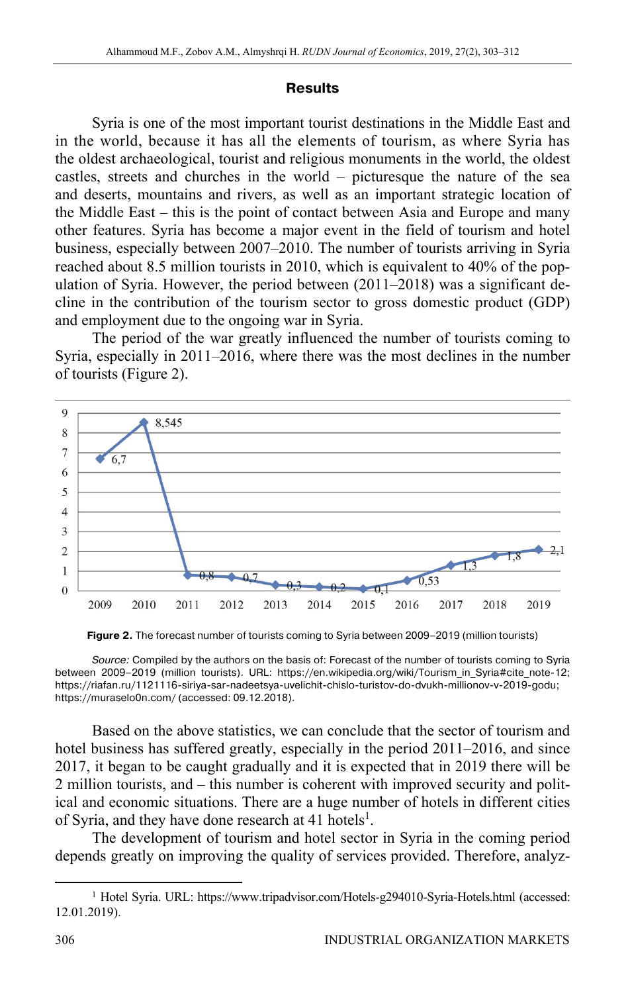#### **Results**

Syria is one of the most important tourist destinations in the Middle East and in the world, because it has all the elements of tourism, as where Syria has the oldest archaeological, tourist and religious monuments in the world, the oldest castles, streets and churches in the world – picturesque the nature of the sea and deserts, mountains and rivers, as well as an important strategic location of the Middle East – this is the point of contact between Asia and Europe and many other features. Syria has become a major event in the field of tourism and hotel business, especially between 2007–2010. The number of tourists arriving in Syria reached about 8.5 million tourists in 2010, which is equivalent to 40% of the population of Syria. However, the period between (2011–2018) was a significant decline in the contribution of the tourism sector to gross domestic product (GDP) and employment due to the ongoing war in Syria.

The period of the war greatly influenced the number of tourists coming to Syria, especially in 2011–2016, where there was the most declines in the number of tourists (Figure 2).



**Figure 2.** The forecast number of tourists coming to Syria between 2009–2019 (million tourists)

Source: Compiled by the authors on the basis of: Forecast of the number of tourists coming to Syria between 2009–2019 (million tourists). URL: https://en.wikipedia.org/wiki/Tourism\_in\_Syria#cite\_note-12; https://riafan.ru/1121116-siriya-sar-nadeetsya-uvelichit-chislo-turistov-do-dvukh-millionov-v-2019-godu; https://muraselo0n.com/ (accessed: 09.12.2018).

Based on the above statistics, we can conclude that the sector of tourism and hotel business has suffered greatly, especially in the period 2011–2016, and since 2017, it began to be caught gradually and it is expected that in 2019 there will be 2 million tourists, and – this number is coherent with improved security and political and economic situations. There are a huge number of hotels in different cities of Syria, and they have done research at 41 hotels<sup>1</sup>.

The development of tourism and hotel sector in Syria in the coming period depends greatly on improving the quality of services provided. Therefore, analyz-

<sup>&</sup>lt;u>1</u> <sup>1</sup> Hotel Syria. URL: https://www.tripadvisor.com/Hotels-g294010-Syria-Hotels.html (accessed: 12.01.2019).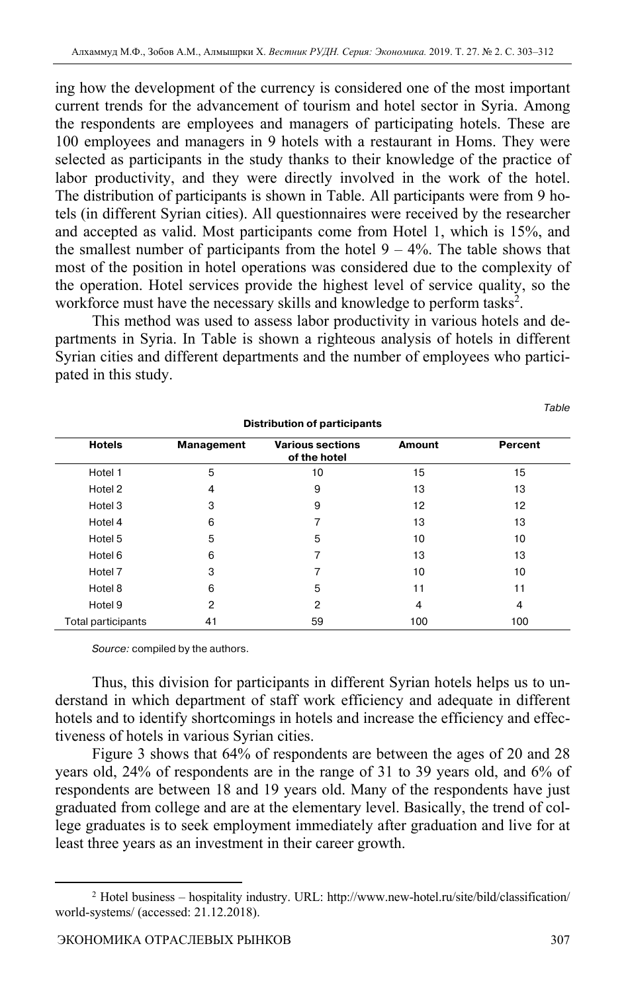ing how the development of the currency is considered one of the most important current trends for the advancement of tourism and hotel sector in Syria. Among the respondents are employees and managers of participating hotels. These are 100 employees and managers in 9 hotels with a restaurant in Homs. They were selected as participants in the study thanks to their knowledge of the practice of labor productivity, and they were directly involved in the work of the hotel. The distribution of participants is shown in Table. All participants were from 9 hotels (in different Syrian cities). All questionnaires were received by the researcher and accepted as valid. Most participants come from Hotel 1, which is 15%, and the smallest number of participants from the hotel  $9 - 4\%$ . The table shows that most of the position in hotel operations was considered due to the complexity of the operation. Hotel services provide the highest level of service quality, so the workforce must have the necessary skills and knowledge to perform tasks<sup>2</sup>.

This method was used to assess labor productivity in various hotels and departments in Syria. In Table is shown a righteous analysis of hotels in different Syrian cities and different departments and the number of employees who participated in this study.

| <b>Distribution of participants</b> |            |                                         |               |         |
|-------------------------------------|------------|-----------------------------------------|---------------|---------|
| <b>Hotels</b>                       | Management | <b>Various sections</b><br>of the hotel | <b>Amount</b> | Percent |
| Hotel 1                             | 5          | 10                                      | 15            | 15      |
| Hotel 2                             | 4          | 9                                       | 13            | 13      |
| Hotel 3                             | 3          | 9                                       | 12            | 12      |
| Hotel 4                             | 6          |                                         | 13            | 13      |
| Hotel 5                             | 5          | 5                                       | 10            | 10      |
| Hotel 6                             | 6          | 7                                       | 13            | 13      |
| Hotel 7                             | 3          |                                         | 10            | 10      |
| Hotel 8                             | 6          | 5                                       | 11            | 11      |
| Hotel 9                             | 2          | 2                                       | 4             | 4       |
| Total participants                  | 41         | 59                                      | 100           | 100     |

Source: compiled by the authors.

Thus, this division for participants in different Syrian hotels helps us to understand in which department of staff work efficiency and adequate in different hotels and to identify shortcomings in hotels and increase the efficiency and effectiveness of hotels in various Syrian cities.

Figure 3 shows that 64% of respondents are between the ages of 20 and 28 years old, 24% of respondents are in the range of 31 to 39 years old, and 6% of respondents are between 18 and 19 years old. Many of the respondents have just graduated from college and are at the elementary level. Basically, the trend of college graduates is to seek employment immediately after graduation and live for at least three years as an investment in their career growth.

Table

 <sup>2</sup> <sup>2</sup> Hotel business – hospitality industry. URL: http://www.new-hotel.ru/site/bild/classification/ world-systems/ (accessed: 21.12.2018).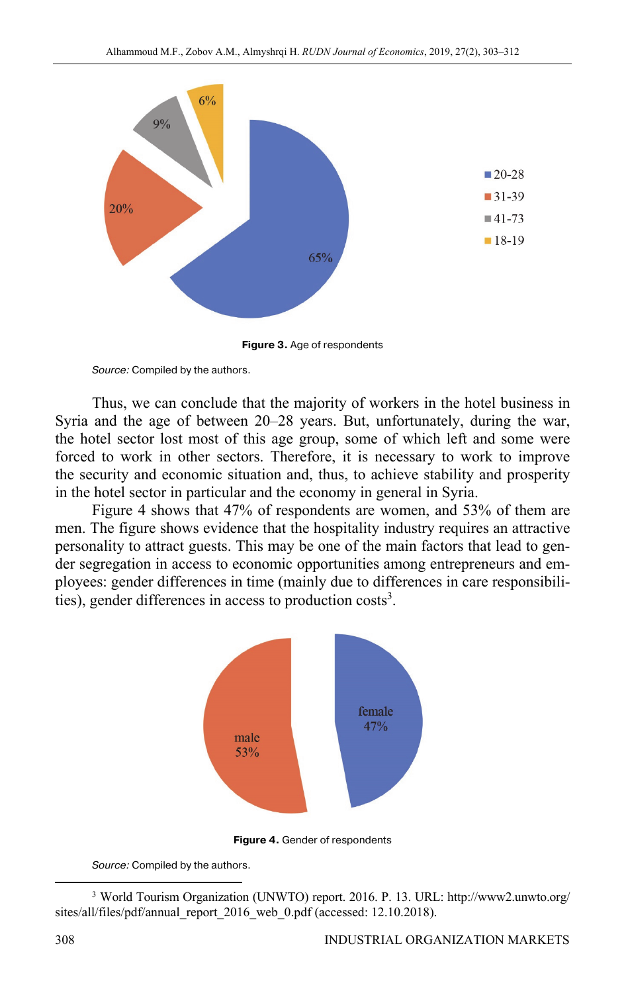

**Figure 3.** Age of respondents

Source: Compiled by the authors.

Thus, we can conclude that the majority of workers in the hotel business in Syria and the age of between 20–28 years. But, unfortunately, during the war, the hotel sector lost most of this age group, some of which left and some were forced to work in other sectors. Therefore, it is necessary to work to improve the security and economic situation and, thus, to achieve stability and prosperity in the hotel sector in particular and the economy in general in Syria.

Figure 4 shows that 47% of respondents are women, and 53% of them are men. The figure shows evidence that the hospitality industry requires an attractive personality to attract guests. This may be one of the main factors that lead to gender segregation in access to economic opportunities among entrepreneurs and employees: gender differences in time (mainly due to differences in care responsibilities), gender differences in access to production costs<sup>3</sup>.



**Figure 4.** Gender of respondents

Source: Compiled by the authors.

 <sup>3</sup> World Tourism Organization (UNWTO) report. 2016. P. 13. URL: http://www2.unwto.org/ sites/all/files/pdf/annual\_report\_2016\_web\_0.pdf (accessed: 12.10.2018).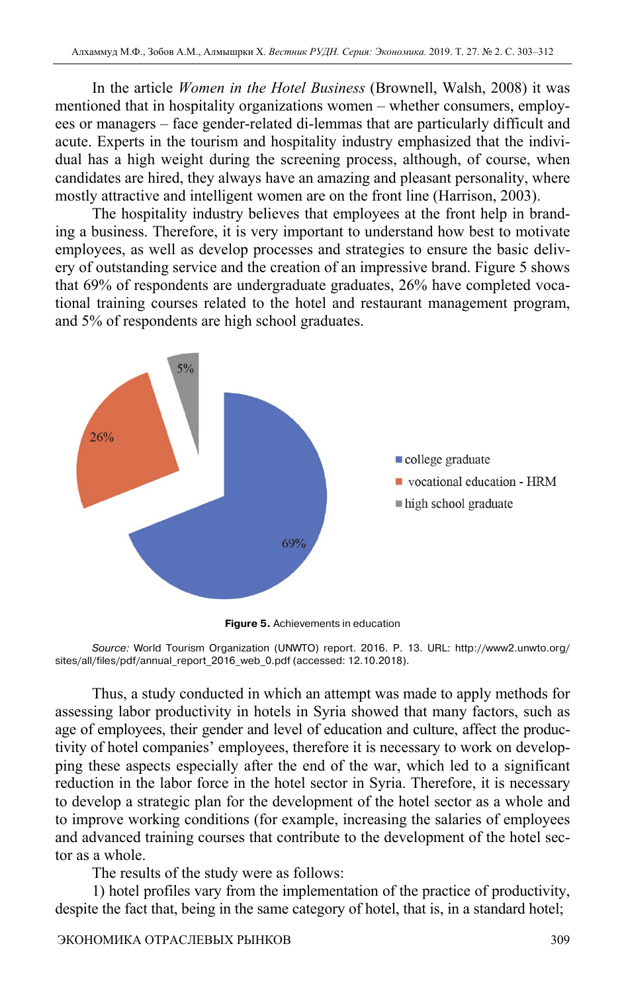In the article *Women in the Hotel Business* (Brownell, Walsh, 2008) it was mentioned that in hospitality organizations women – whether consumers, employees or managers – face gender-related di-lemmas that are particularly difficult and acute. Experts in the tourism and hospitality industry emphasized that the individual has a high weight during the screening process, although, of course, when candidates are hired, they always have an amazing and pleasant personality, where mostly attractive and intelligent women are on the front line (Harrison, 2003).

The hospitality industry believes that employees at the front help in branding a business. Therefore, it is very important to understand how best to motivate employees, as well as develop processes and strategies to ensure the basic delivery of outstanding service and the creation of an impressive brand. Figure 5 shows that 69% of respondents are undergraduate graduates, 26% have completed vocational training courses related to the hotel and restaurant management program, and 5% of respondents are high school graduates.



**Figure 5.** Achievements in education

Source: World Tourism Organization (UNWTO) report. 2016. P. 13. URL: http://www2.unwto.org/ sites/all/files/pdf/annual\_report\_2016\_web\_0.pdf (accessed: 12.10.2018).

Thus, a study conducted in which an attempt was made to apply methods for assessing labor productivity in hotels in Syria showed that many factors, such as age of employees, their gender and level of education and culture, affect the productivity of hotel companies' employees, therefore it is necessary to work on developping these aspects especially after the end of the war, which led to a significant reduction in the labor force in the hotel sector in Syria. Therefore, it is necessary to develop a strategic plan for the development of the hotel sector as a whole and to improve working conditions (for example, increasing the salaries of employees and advanced training courses that contribute to the development of the hotel sector as a whole.

The results of the study were as follows:

1) hotel profiles vary from the implementation of the practice of productivity, despite the fact that, being in the same category of hotel, that is, in a standard hotel;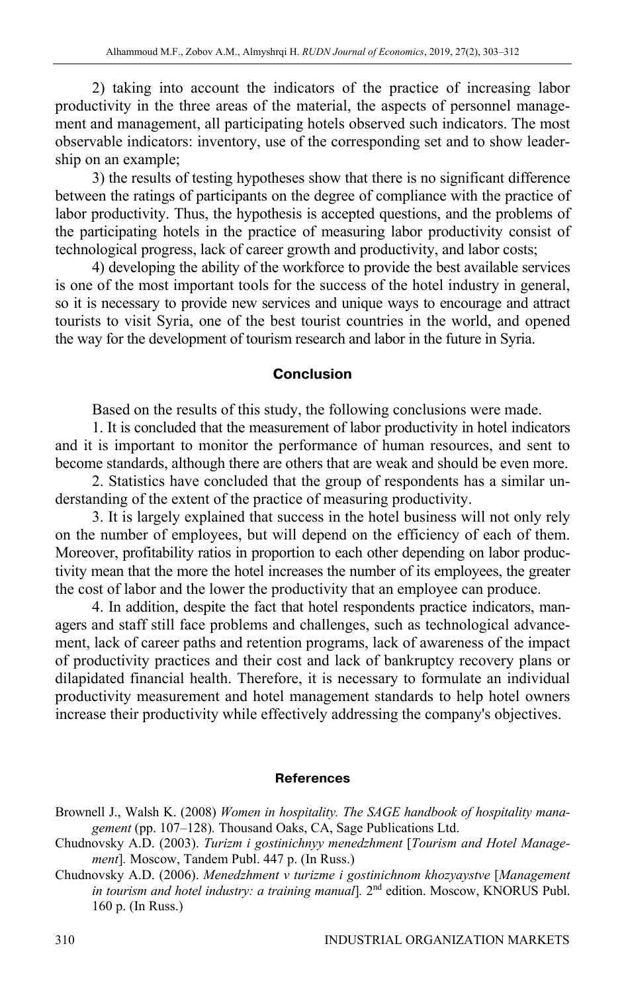2) taking into account the indicators of the practice of increasing labor productivity in the three areas of the material, the aspects of personnel management and management, all participating hotels observed such indicators. The most observable indicators: inventory, use of the corresponding set and to show leadership on an example;

3) the results of testing hypotheses show that there is no significant difference between the ratings of participants on the degree of compliance with the practice of labor productivity. Thus, the hypothesis is accepted questions, and the problems of the participating hotels in the practice of measuring labor productivity consist of technological progress, lack of career growth and productivity, and labor costs;

4) developing the ability of the workforce to provide the best available services is one of the most important tools for the success of the hotel industry in general, so it is necessary to provide new services and unique ways to encourage and attract tourists to visit Syria, one of the best tourist countries in the world, and opened the way for the development of tourism research and labor in the future in Syria.

## **Conclusion**

Based on the results of this study, the following conclusions were made.

1. It is concluded that the measurement of labor productivity in hotel indicators and it is important to monitor the performance of human resources, and sent to become standards, although there are others that are weak and should be even more.

2. Statistics have concluded that the group of respondents has a similar understanding of the extent of the practice of measuring productivity.

3. It is largely explained that success in the hotel business will not only rely on the number of employees, but will depend on the efficiency of each of them. Moreover, profitability ratios in proportion to each other depending on labor productivity mean that the more the hotel increases the number of its employees, the greater the cost of labor and the lower the productivity that an employee can produce.

4. In addition, despite the fact that hotel respondents practice indicators, managers and staff still face problems and challenges, such as technological advancement, lack of career paths and retention programs, lack of awareness of the impact of productivity practices and their cost and lack of bankruptcy recovery plans or dilapidated financial health. Therefore, it is necessary to formulate an individual productivity measurement and hotel management standards to help hotel owners increase their productivity while effectively addressing the company's objectives.

#### **References**

Brownell J., Walsh K. (2008) *Women in hospitality. The SAGE handbook of hospitality management* (pp. 107–128)*.* Thousand Oaks, CA, Sage Publications Ltd.

- Chudnovsky A.D. (2003). *Turizm i gostinichnyy menedzhment* [*Tourism and Hotel Management*]*.* Moscow, Tandem Publ. 447 p. (In Russ.)
- Chudnovsky A.D. (2006). *Menedzhment v turizme i gostinichnom khozyaystve* [*Management in tourism and hotel industry: a training manual*]. 2<sup>nd</sup> edition. Moscow, KNORUS Publ. 160 p. (In Russ.)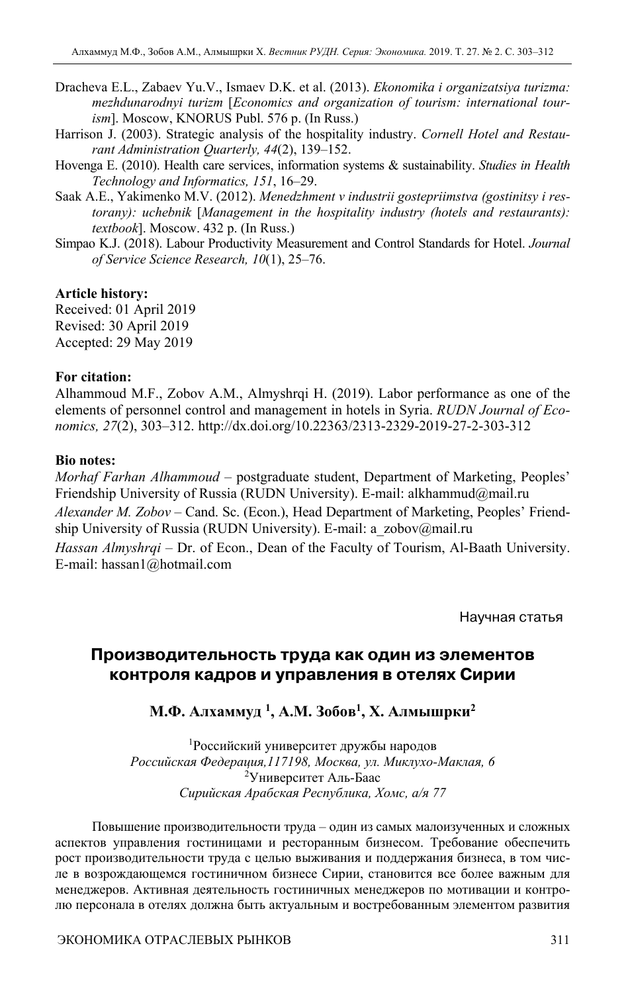- Dracheva E.L., Zabaev Yu.V., Ismaev D.K. et al. (2013). *Ekonomika i organizatsiya turizma: mezhdunarodnyi turizm* [*Economics and organization of tourism: international tourism*]. Moscow, KNORUS Publ. 576 p. (In Russ.)
- Harrison J. (2003). Strategic analysis of the hospitality industry. *Cornell Hotel and Restaurant Administration Quarterly, 44*(2), 139–152.
- Hovenga E. (2010). Health care services, information systems & sustainability. *Studies in Health Technology and Informatics, 151*, 16–29.
- Saak A.E., Yakimenko M.V. (2012). *Menedzhment v industrii gostepriimstva (gostinitsy i restorany): uchebnik* [*Management in the hospitality industry (hotels and restaurants): textbook*]. Moscow. 432 p. (In Russ.)
- Simpao K.J. (2018). Labour Productivity Measurement and Control Standards for Hotel. *Journal of Service Science Research, 10*(1), 25–76.

#### **Article history:**

Received: 01 April 2019 Revised: 30 April 2019 Accepted: 29 May 2019

#### **For citation:**

Alhammoud M.F., Zobov A.M., Almyshrqi H. (2019). Labor performance as one of the elements of personnel control and management in hotels in Syria. *RUDN Journal of Economics, 27*(2), 303–312. http://dx.doi.org/10.22363/2313-2329-2019-27-2-303-312

#### **Bio notes:**

*Morhaf Farhan Alhammoud* – postgraduate student, Department of Marketing, Peoples' Friendship University of Russia (RUDN University). E-mail: alkhammud@mail.ru *Alexander M. Zobov* – Cand. Sc. (Econ.), Head Department of Marketing, Peoples' Friendship University of Russia (RUDN University). E-mail: a\_zobov@mail.ru *Hassan Almyshrqi* – Dr. of Econ., Dean of the Faculty of Tourism, Al-Baath University. E-mail: hassan1@hotmail.com

Научная статья

# **Производительность труда как один из элементов контроля кадров и управления в отелях Сирии**

## **М.Ф. Алхаммуд 1, A.M. Зобов1 , Х. Алмышрки2**

1 Российский университет дружбы народов *Российская Федерация,117198, Москва, ул. Миклухо-Маклая, 6*  2 Университет Аль-Баас *Сирийская Арабская Республика, Хомс, а/я 77* 

Повышение производительности труда – один из самых малоизученных и сложных аспектов управления гостиницами и ресторанным бизнесом. Требование обеспечить рост производительности труда с целью выживания и поддержания бизнеса, в том числе в возрождающемся гостиничном бизнесе Сирии, становится все более важным для менеджеров. Активная деятельность гостиничных менеджеров по мотивации и контролю персонала в отелях должна быть актуальным и востребованным элементом развития